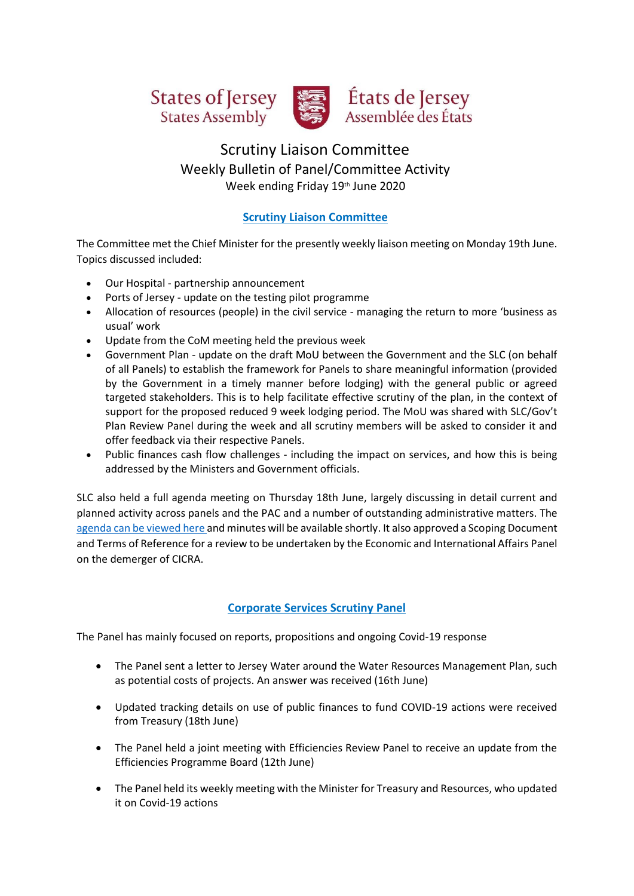



# États de Jersey Assemblée des États

# Scrutiny Liaison Committee Weekly Bulletin of Panel/Committee Activity Week ending Friday 19th June 2020

# **Scrutiny Liaison Committee**

The Committee met the Chief Minister for the presently weekly liaison meeting on Monday 19th June. Topics discussed included:

- Our Hospital partnership announcement
- Ports of Jersey update on the testing pilot programme
- Allocation of resources (people) in the civil service managing the return to more 'business as usual' work
- Update from the CoM meeting held the previous week
- Government Plan update on the draft MoU between the Government and the SLC (on behalf of all Panels) to establish the framework for Panels to share meaningful information (provided by the Government in a timely manner before lodging) with the general public or agreed targeted stakeholders. This is to help facilitate effective scrutiny of the plan, in the context of support for the proposed reduced 9 week lodging period. The MoU was shared with SLC/Gov't Plan Review Panel during the week and all scrutiny members will be asked to consider it and offer feedback via their respective Panels.
- Public finances cash flow challenges including the impact on services, and how this is being addressed by the Ministers and Government officials.

SLC also held a full agenda meeting on Thursday 18th June, largely discussing in detail current and planned activity across panels and the PAC and a number of outstanding administrative matters. The [agenda can be viewed here](https://statesassembly.gov.je/ScrutinyAgenda/2020/Agenda%20-%20Scrutiny%20Liaison%20Committee%20-%2018%20June%202020.pdf) and minutes will be available shortly. It also approved a Scoping Document and Terms of Reference for a review to be undertaken by the Economic and International Affairs Panel on the demerger of CICRA.

# **Corporate Services Scrutiny Panel**

The Panel has mainly focused on reports, propositions and ongoing Covid-19 response

- The Panel sent a letter to Jersey Water around the Water Resources Management Plan, such as potential costs of projects. An answer was received (16th June)
- Updated tracking details on use of public finances to fund COVID-19 actions were received from Treasury (18th June)
- The Panel held a joint meeting with Efficiencies Review Panel to receive an update from the Efficiencies Programme Board (12th June)
- The Panel held its weekly meeting with the Minister for Treasury and Resources, who updated it on Covid-19 actions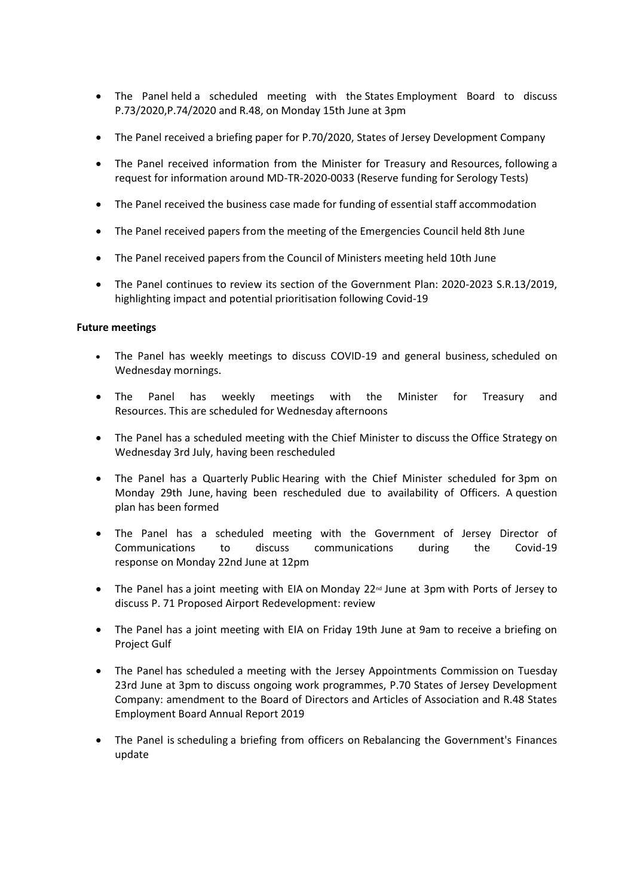- The Panel held a scheduled meeting with the States Employment Board to discuss P.73/2020,P.74/2020 and R.48, on Monday 15th June at 3pm
- The Panel received a briefing paper for P.70/2020, States of Jersey Development Company
- The Panel received information from the Minister for Treasury and Resources, following a request for information around MD-TR-2020-0033 (Reserve funding for Serology Tests)
- The Panel received the business case made for funding of essential staff accommodation
- The Panel received papers from the meeting of the Emergencies Council held 8th June
- The Panel received papers from the Council of Ministers meeting held 10th June
- The Panel continues to review its section of the Government Plan: 2020-2023 S.R.13/2019, highlighting impact and potential prioritisation following Covid-19

#### **Future meetings**

- The Panel has weekly meetings to discuss COVID-19 and general business, scheduled on Wednesday mornings.
- The Panel has weekly meetings with the Minister for Treasury and Resources. This are scheduled for Wednesday afternoons
- The Panel has a scheduled meeting with the Chief Minister to discuss the Office Strategy on Wednesday 3rd July, having been rescheduled
- The Panel has a Quarterly Public Hearing with the Chief Minister scheduled for 3pm on Monday 29th June, having been rescheduled due to availability of Officers. A question plan has been formed
- The Panel has a scheduled meeting with the Government of Jersey Director of Communications to discuss communications during the Covid-19 response on Monday 22nd June at 12pm
- The Panel has a joint meeting with EIA on Monday 22<sup>nd</sup> June at 3pm with Ports of Jersey to discuss P. 71 Proposed Airport Redevelopment: review
- The Panel has a joint meeting with EIA on Friday 19th June at 9am to receive a briefing on Project Gulf
- The Panel has scheduled a meeting with the Jersey Appointments Commission on Tuesday 23rd June at 3pm to discuss ongoing work programmes, P.70 States of Jersey Development Company: amendment to the Board of Directors and Articles of Association and R.48 States Employment Board Annual Report 2019
- The Panel is scheduling a briefing from officers on Rebalancing the Government's Finances update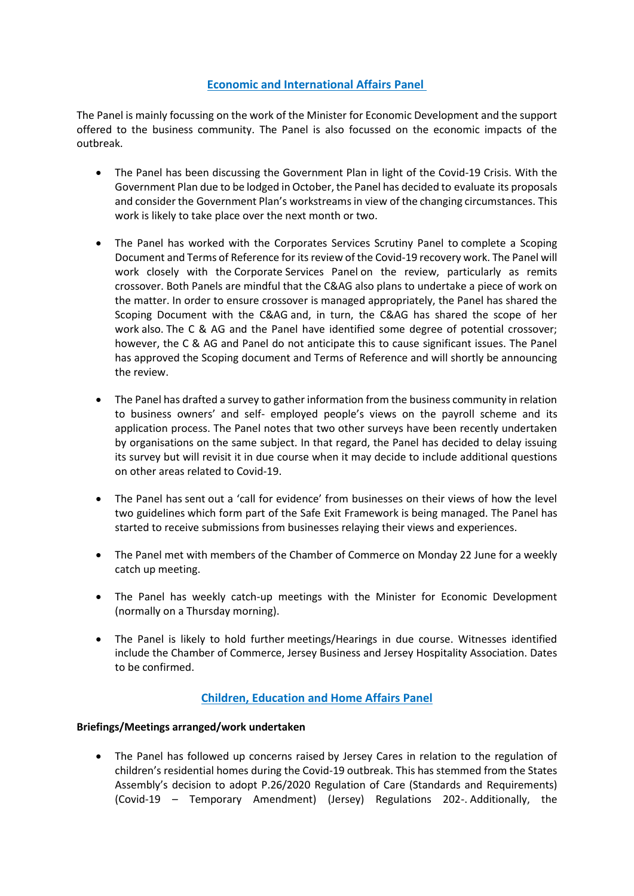## **Economic and International Affairs Panel**

The Panel is mainly focussing on the work of the Minister for Economic Development and the support offered to the business community. The Panel is also focussed on the economic impacts of the outbreak.

- The Panel has been discussing the Government Plan in light of the Covid-19 Crisis. With the Government Plan due to be lodged in October, the Panel has decided to evaluate its proposals and consider the Government Plan's workstreams in view of the changing circumstances. This work is likely to take place over the next month or two.
- The Panel has worked with the Corporates Services Scrutiny Panel to complete a Scoping Document and Terms of Reference for its review of the Covid-19 recovery work. The Panel will work closely with the Corporate Services Panel on the review, particularly as remits crossover. Both Panels are mindful that the C&AG also plans to undertake a piece of work on the matter. In order to ensure crossover is managed appropriately, the Panel has shared the Scoping Document with the C&AG and, in turn, the C&AG has shared the scope of her work also. The C & AG and the Panel have identified some degree of potential crossover; however, the C & AG and Panel do not anticipate this to cause significant issues. The Panel has approved the Scoping document and Terms of Reference and will shortly be announcing the review.
- The Panel has drafted a survey to gather information from the business community in relation to business owners' and self- employed people's views on the payroll scheme and its application process. The Panel notes that two other surveys have been recently undertaken by organisations on the same subject. In that regard, the Panel has decided to delay issuing its survey but will revisit it in due course when it may decide to include additional questions on other areas related to Covid-19.
- The Panel has sent out a 'call for evidence' from businesses on their views of how the level two guidelines which form part of the Safe Exit Framework is being managed. The Panel has started to receive submissions from businesses relaying their views and experiences.
- The Panel met with members of the Chamber of Commerce on Monday 22 June for a weekly catch up meeting.
- The Panel has weekly catch-up meetings with the Minister for Economic Development (normally on a Thursday morning).
- The Panel is likely to hold further meetings/Hearings in due course. Witnesses identified include the Chamber of Commerce, Jersey Business and Jersey Hospitality Association. Dates to be confirmed.

# **Children, Education and Home Affairs Panel**

#### **Briefings/Meetings arranged/work undertaken**

• The Panel has followed up concerns raised by Jersey Cares in relation to the regulation of children's residential homes during the Covid-19 outbreak. This has stemmed from the States Assembly's decision to adopt P.26/2020 Regulation of Care (Standards and Requirements) (Covid-19 – Temporary Amendment) (Jersey) Regulations 202-. Additionally, the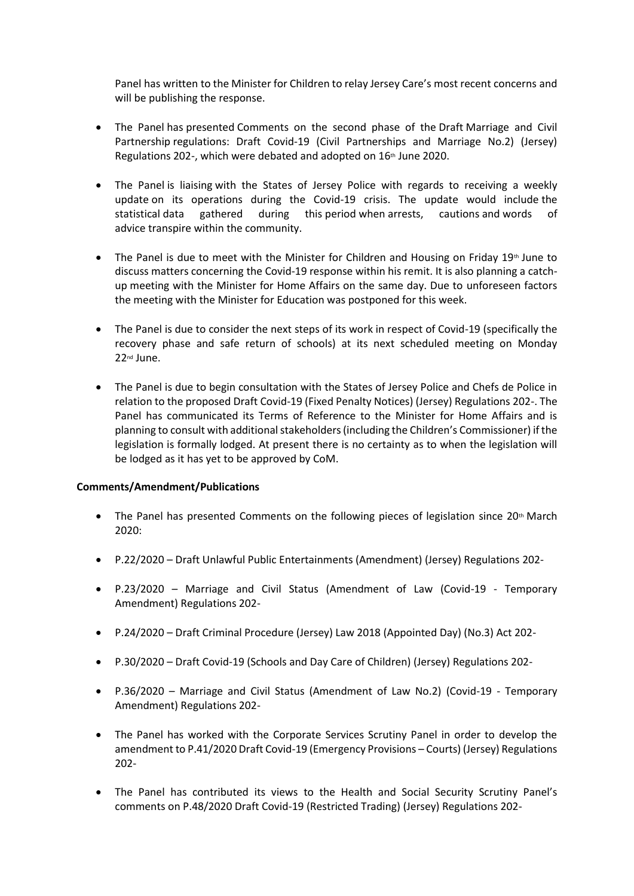Panel has written to the Minister for Children to relay Jersey Care's most recent concerns and will be publishing the response.

- The Panel has presented Comments on the second phase of the Draft Marriage and Civil Partnership regulations: Draft Covid-19 (Civil Partnerships and Marriage No.2) (Jersey) Regulations 202-, which were debated and adopted on 16<sup>th</sup> June 2020.
- The Panel is liaising with the States of Jersey Police with regards to receiving a weekly update on its operations during the Covid-19 crisis. The update would include the statistical data gathered during this period when arrests, cautions and words of advice transpire within the community.
- The Panel is due to meet with the Minister for Children and Housing on Friday  $19<sup>th</sup>$  June to discuss matters concerning the Covid-19 response within his remit. It is also planning a catchup meeting with the Minister for Home Affairs on the same day. Due to unforeseen factors the meeting with the Minister for Education was postponed for this week.
- The Panel is due to consider the next steps of its work in respect of Covid-19 (specifically the recovery phase and safe return of schools) at its next scheduled meeting on Monday 22nd June.
- The Panel is due to begin consultation with the States of Jersey Police and Chefs de Police in relation to the proposed Draft Covid-19 (Fixed Penalty Notices) (Jersey) Regulations 202-. The Panel has communicated its Terms of Reference to the Minister for Home Affairs and is planning to consult with additional stakeholders (including the Children's Commissioner) if the legislation is formally lodged. At present there is no certainty as to when the legislation will be lodged as it has yet to be approved by CoM.

#### **Comments/Amendment/Publications**

- The Panel has presented Comments on the following pieces of legislation since  $20<sup>th</sup>$  March 2020:
- P.22/2020 Draft Unlawful Public Entertainments (Amendment) (Jersey) Regulations 202-
- P.23/2020 Marriage and Civil Status (Amendment of Law (Covid-19 Temporary Amendment) Regulations 202-
- P.24/2020 Draft Criminal Procedure (Jersey) Law 2018 (Appointed Day) (No.3) Act 202-
- P.30/2020 Draft Covid-19 (Schools and Day Care of Children) (Jersey) Regulations 202-
- P.36/2020 Marriage and Civil Status (Amendment of Law No.2) (Covid-19 Temporary Amendment) Regulations 202-
- The Panel has worked with the Corporate Services Scrutiny Panel in order to develop the amendment to P.41/2020 Draft Covid-19 (Emergency Provisions – Courts) (Jersey) Regulations 202-
- The Panel has contributed its views to the Health and Social Security Scrutiny Panel's comments on P.48/2020 Draft Covid-19 (Restricted Trading) (Jersey) Regulations 202-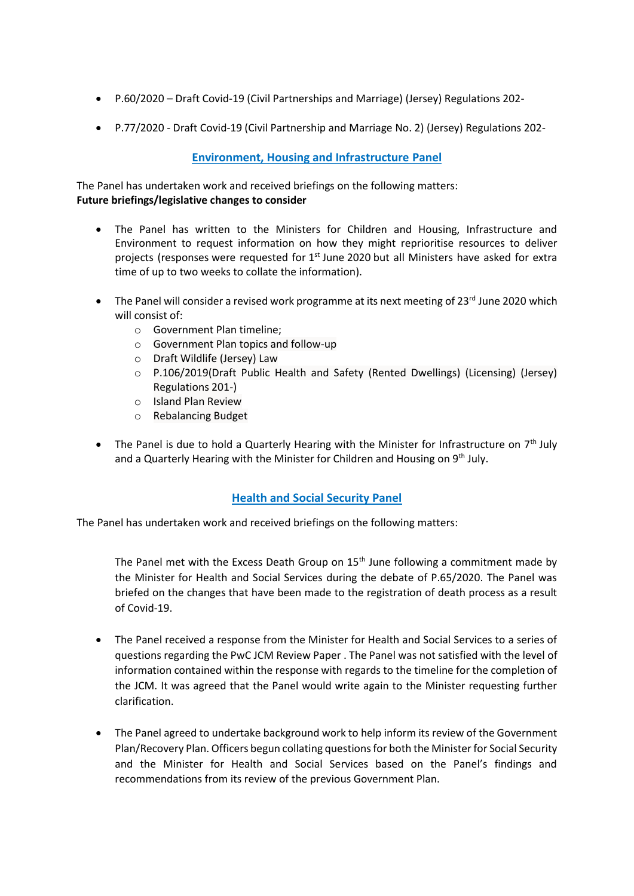- P.60/2020 Draft Covid-19 (Civil Partnerships and Marriage) (Jersey) Regulations 202-
- P.77/2020 Draft Covid-19 (Civil Partnership and Marriage No. 2) (Jersey) Regulations 202-

## **Environment, Housing and Infrastructure Panel**

The Panel has undertaken work and received briefings on the following matters: **Future briefings/legislative changes to consider**

- The Panel has written to the Ministers for Children and Housing, Infrastructure and Environment to request information on how they might reprioritise resources to deliver projects (responses were requested for  $1<sup>st</sup>$  June 2020 but all Ministers have asked for extra time of up to two weeks to collate the information).
- The Panel will consider a revised work programme at its next meeting of 23 $^{\text{rd}}$  June 2020 which will consist of:
	- o Government Plan timeline;
	- o Government Plan topics and follow-up
	- o Draft Wildlife (Jersey) Law
	- o P.106/2019(Draft Public Health and Safety (Rented Dwellings) (Licensing) (Jersey) Regulations 201-)
	- o Island Plan Review
	- o Rebalancing Budget
- The Panel is due to hold a Quarterly Hearing with the Minister for Infrastructure on  $7<sup>th</sup>$  July and a Quarterly Hearing with the Minister for Children and Housing on 9<sup>th</sup> July.

#### **Health and Social Security Panel**

The Panel has undertaken work and received briefings on the following matters:

The Panel met with the Excess Death Group on  $15<sup>th</sup>$  June following a commitment made by the Minister for Health and Social Services during the debate of P.65/2020. The Panel was briefed on the changes that have been made to the registration of death process as a result of Covid-19.

- The Panel received a response from the Minister for Health and Social Services to a series of questions regarding the PwC JCM Review Paper . The Panel was not satisfied with the level of information contained within the response with regards to the timeline for the completion of the JCM. It was agreed that the Panel would write again to the Minister requesting further clarification.
- The Panel agreed to undertake background work to help inform its review of the Government Plan/Recovery Plan. Officers begun collating questions for both the Minister for Social Security and the Minister for Health and Social Services based on the Panel's findings and recommendations from its review of the previous Government Plan.